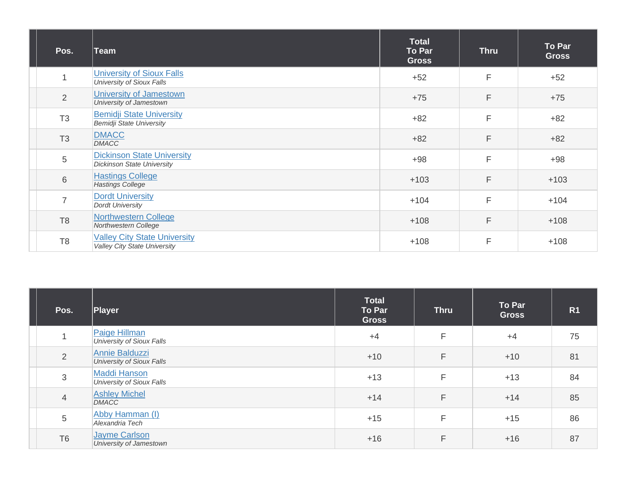| Pos.           | ∣Team                                                                  | <b>Total</b><br><b>To Par</b><br><b>Gross</b> | <b>Thru</b> | <b>To Par</b><br><b>Gross</b> |
|----------------|------------------------------------------------------------------------|-----------------------------------------------|-------------|-------------------------------|
| $\mathbf 1$    | <b>University of Sioux Falls</b><br>University of Sioux Falls          | $+52$                                         | F           | $+52$                         |
| $\overline{2}$ | University of Jamestown<br>University of Jamestown                     | $+75$                                         | F           | $+75$                         |
| T <sub>3</sub> | <b>Bemidji State University</b><br><b>Bemidji State University</b>     | $+82$                                         | F           | $+82$                         |
| T <sub>3</sub> | <b>DMACC</b><br><b>DMACC</b>                                           | $+82$                                         | F           | $+82$                         |
| 5              | <b>Dickinson State University</b><br><b>Dickinson State University</b> | $+98$                                         | F           | $+98$                         |
| 6              | <b>Hastings College</b><br><b>Hastings College</b>                     | $+103$                                        | F           | $+103$                        |
| $\overline{7}$ | <b>Dordt University</b><br><b>Dordt University</b>                     | $+104$                                        | F           | $+104$                        |
| T <sub>8</sub> | <b>Northwestern College</b><br>Northwestern College                    | $+108$                                        | F           | $+108$                        |
| T <sub>8</sub> | <b>Valley City State University</b><br>Valley City State University    | $+108$                                        | F           | $+108$                        |

| Pos.           | Player                                           | <b>Total</b><br><b>To Par</b><br><b>Gross</b> | <b>Thru</b> | To Par<br><b>Gross</b> | R <sub>1</sub> |
|----------------|--------------------------------------------------|-----------------------------------------------|-------------|------------------------|----------------|
|                | Paige Hillman<br>University of Sioux Falls       | $+4$                                          | F           | $+4$                   | 75             |
| 2              | Annie Balduzzi<br>University of Sioux Falls      | $+10$                                         | F           | $+10$                  | 81             |
| 3              | <b>Maddi Hanson</b><br>University of Sioux Falls | $+13$                                         | F           | $+13$                  | 84             |
| $\overline{4}$ | <b>Ashley Michel</b><br><b>DMACC</b>             | $+14$                                         | F           | $+14$                  | 85             |
| 5              | Abby Hamman (I)<br>Alexandria Tech               | $+15$                                         | F           | $+15$                  | 86             |
| T <sub>6</sub> | Jayme Carlson<br>University of Jamestown         | $+16$                                         | F           | $+16$                  | 87             |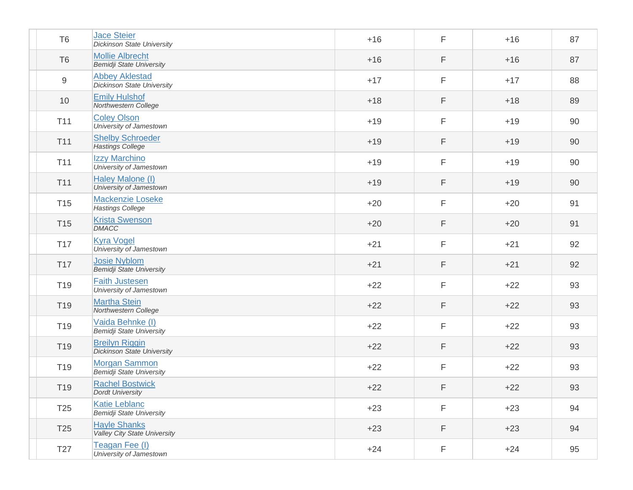| T <sub>6</sub>  | <b>Jace Steier</b><br><b>Dickinson State University</b>    | $+16$ | F | $+16$ | 87 |
|-----------------|------------------------------------------------------------|-------|---|-------|----|
| T <sub>6</sub>  | <b>Mollie Albrecht</b><br><b>Bemidji State University</b>  | $+16$ | F | $+16$ | 87 |
| 9               | <b>Abbey Aklestad</b><br><b>Dickinson State University</b> | $+17$ | F | $+17$ | 88 |
| 10              | <b>Emily Hulshof</b><br>Northwestern College               | $+18$ | F | $+18$ | 89 |
| T11             | <b>Coley Olson</b><br>University of Jamestown              | $+19$ | F | $+19$ | 90 |
| T11             | <b>Shelby Schroeder</b><br><b>Hastings College</b>         | $+19$ | F | $+19$ | 90 |
| T11             | Izzy Marchino<br>University of Jamestown                   | $+19$ | F | $+19$ | 90 |
| T11             | Haley Malone (I)<br>University of Jamestown                | $+19$ | F | $+19$ | 90 |
| T <sub>15</sub> | Mackenzie Loseke<br><b>Hastings College</b>                | $+20$ | F | $+20$ | 91 |
| <b>T15</b>      | <b>Krista Swenson</b><br><b>DMACC</b>                      | $+20$ | F | $+20$ | 91 |
| T <sub>17</sub> | <b>Kyra Vogel</b><br>University of Jamestown               | $+21$ | F | $+21$ | 92 |
| <b>T17</b>      | <b>Josie Nyblom</b><br><b>Bemidji State University</b>     | $+21$ | F | $+21$ | 92 |
| T <sub>19</sub> | <b>Faith Justesen</b><br>University of Jamestown           | $+22$ | F | $+22$ | 93 |
| T <sub>19</sub> | <b>Martha Stein</b><br>Northwestern College                | $+22$ | F | $+22$ | 93 |
| T <sub>19</sub> | Vaida Behnke (I)<br><b>Bemidji State University</b>        | $+22$ | F | $+22$ | 93 |
| T <sub>19</sub> | <b>Breilyn Riggin</b><br><b>Dickinson State University</b> | $+22$ | F | $+22$ | 93 |
| T <sub>19</sub> | <b>Morgan Sammon</b><br><b>Bemidji State University</b>    | $+22$ | F | $+22$ | 93 |
| T19             | <b>Rachel Bostwick</b><br><b>Dordt University</b>          | $+22$ | F | $+22$ | 93 |
| T25             | <b>Katie Leblanc</b><br><b>Bemidji State University</b>    | $+23$ | F | $+23$ | 94 |
| T <sub>25</sub> | <b>Hayle Shanks</b><br><b>Valley City State University</b> | $+23$ | F | $+23$ | 94 |
| T <sub>27</sub> | Teagan Fee (I)<br>University of Jamestown                  | $+24$ | F | $+24$ | 95 |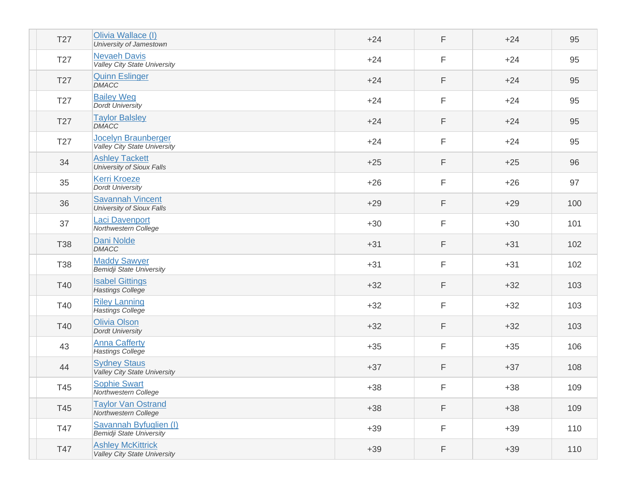| T <sub>27</sub> | Olivia Wallace (I)<br>University of Jamestown                   | $+24$ | F           | $+24$ | 95  |
|-----------------|-----------------------------------------------------------------|-------|-------------|-------|-----|
| T27             | <b>Nevaeh Davis</b><br>Valley City State University             | $+24$ | F           | $+24$ | 95  |
| T <sub>27</sub> | <b>Quinn Eslinger</b><br><b>DMACC</b>                           | $+24$ | F           | $+24$ | 95  |
| T <sub>27</sub> | <b>Bailey Weg</b><br><b>Dordt University</b>                    | $+24$ | F           | $+24$ | 95  |
| T <sub>27</sub> | <b>Taylor Balsley</b><br><b>DMACC</b>                           | $+24$ | F           | $+24$ | 95  |
| T27             | Jocelyn Braunberger<br>Valley City State University             | $+24$ | F           | $+24$ | 95  |
| 34              | <b>Ashley Tackett</b><br>University of Sioux Falls              | $+25$ | F           | $+25$ | 96  |
| 35              | <b>Kerri Kroeze</b><br><b>Dordt University</b>                  | $+26$ | F           | $+26$ | 97  |
| 36              | <b>Savannah Vincent</b><br>University of Sioux Falls            | $+29$ | F           | $+29$ | 100 |
| 37              | <b>Laci Davenport</b><br>Northwestern College                   | $+30$ | F           | $+30$ | 101 |
| <b>T38</b>      | <b>Dani Nolde</b><br><b>DMACC</b>                               | $+31$ | F           | $+31$ | 102 |
| <b>T38</b>      | <b>Maddy Sawyer</b><br><b>Bemidji State University</b>          | $+31$ | F           | $+31$ | 102 |
| T40             | <b>Isabel Gittings</b><br><b>Hastings College</b>               | $+32$ | F           | $+32$ | 103 |
| T40             | <b>Riley Lanning</b><br><b>Hastings College</b>                 | $+32$ | F           | $+32$ | 103 |
| T40             | <b>Olivia Olson</b><br><b>Dordt University</b>                  | $+32$ | F           | $+32$ | 103 |
| 43              | <b>Anna Cafferty</b><br><b>Hastings College</b>                 | $+35$ | F           | $+35$ | 106 |
| 44              | <b>Sydney Staus</b><br>Valley City State University             | $+37$ | F           | $+37$ | 108 |
| T45             | <b>Sophie Swart</b><br>Northwestern College                     | $+38$ | $\mathsf F$ | $+38$ | 109 |
| T45             | <b>Taylor Van Ostrand</b><br>Northwestern College               | $+38$ | F           | $+38$ | 109 |
| T47             | Savannah Byfuglien (I)<br><b>Bemidji State University</b>       | $+39$ | F           | $+39$ | 110 |
| T47             | <b>Ashley McKittrick</b><br><b>Valley City State University</b> | $+39$ | F           | $+39$ | 110 |